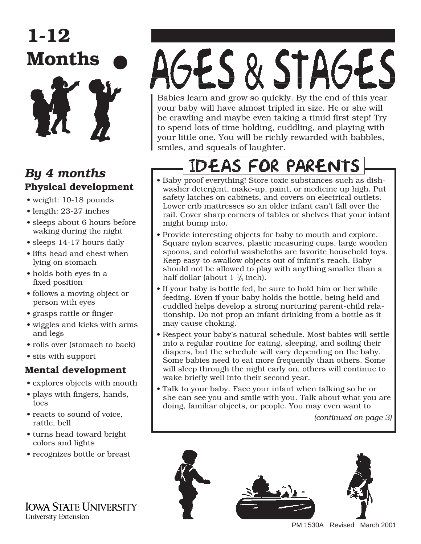

#### *By 4 months* **Physical development**

- weight: 10-18 pounds
- length: 23-27 inches
- sleeps about 6 hours before waking during the night
- sleeps 14-17 hours daily
- lifts head and chest when lying on stomach
- holds both eyes in a fixed position
- follows a moving object or person with eyes
- grasps rattle or finger
- wiggles and kicks with arms and legs
- rolls over (stomach to back)
- sits with support

#### **Mental development**

- explores objects with mouth
- plays with fingers, hands, toes
- reacts to sound of voice, rattle, bell
- turns head toward bright colors and lights
- recognizes bottle or breast

**IOWA STATE UNIVERSITY University Extension** 

# AGES & STAGES Babies learn and grow so quickly. By the end of this year

your baby will have almost tripled in size. He or she will be crawling and maybe even taking a timid first step! Try to spend lots of time holding, cuddling, and playing with your little one. You will be richly rewarded with babbles, smiles, and squeals of laughter.

## **EAS FOR PARENTS**

- Baby proof everything! Store toxic substances such as dishwasher detergent, make-up, paint, or medicine up high. Put safety latches on cabinets, and covers on electrical outlets. Lower crib mattresses so an older infant can't fall over the rail. Cover sharp corners of tables or shelves that your infant might bump into.
- Provide interesting objects for baby to mouth and explore. Square nylon scarves, plastic measuring cups, large wooden spoons, and colorful washcloths are favorite household toys. Keep easy-to-swallow objects out of infant's reach. Baby should not be allowed to play with anything smaller than a half dollar (about  $1 \frac{1}{4}$  inch).
- If your baby is bottle fed, be sure to hold him or her while feeding. Even if your baby holds the bottle, being held and cuddled helps develop a strong nurturing parent-child relationship. Do not prop an infant drinking from a bottle as it may cause choking.
- Respect your baby's natural schedule. Most babies will settle into a regular routine for eating, sleeping, and soiling their diapers, but the schedule will vary depending on the baby. Some babies need to eat more frequently than others. Some will sleep through the night early on, others will continue to wake briefly well into their second year.
- Talk to your baby. Face your infant when talking so he or she can see you and smile with you. Talk about what you are doing, familiar objects, or people. You may even want to

*(continued on page 3)*



PM 1530A Revised March 2001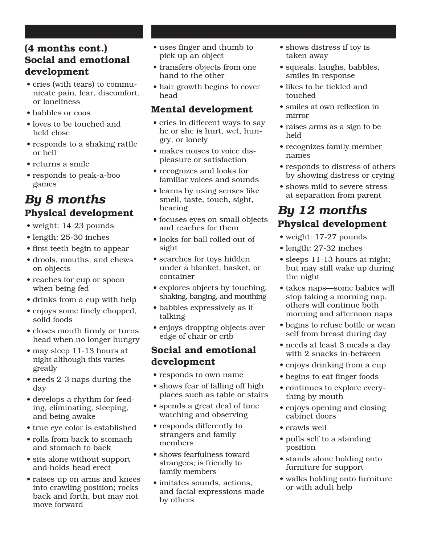#### **(4 months cont.) Social and emotional development**

- cries (with tears) to communicate pain, fear, discomfort, or loneliness
- babbles or coos
- loves to be touched and held close
- responds to a shaking rattle or bell
- returns a smile
- responds to peak-a-boo games

#### *By 8 months* **Physical development**

- weight: 14-23 pounds
- length: 25-30 inches
- first teeth begin to appear
- •␣ drools, mouths, and chews on objects
- reaches for cup or spoon when being fed
- drinks from a cup with help
- enjoys some finely chopped, solid foods
- closes mouth firmly or turns head when no longer hungry
- may sleep 11-13 hours at night although this varies greatly
- needs 2-3 naps during the day
- develops a rhythm for feeding, eliminating, sleeping, and being awake
- true eye color is established
- rolls from back to stomach and stomach to back
- sits alone without support and holds head erect
- raises up on arms and knees into crawling position; rocks back and forth, but may not move forward
- uses finger and thumb to pick up an object
- transfers objects from one hand to the other
- hair growth begins to cover head

#### **Mental development**

- cries in different ways to say he or she is hurt, wet, hungry, or lonely
- makes noises to voice displeasure or satisfaction
- recognizes and looks for familiar voices and sounds
- learns by using senses like smell, taste, touch, sight, hearing
- focuses eyes on small objects and reaches for them
- looks for ball rolled out of sight
- searches for toys hidden under a blanket, basket, or container
- explores objects by touching, shaking, banging, and mouthing
- babbles expressively as if talking
- enjoys dropping objects over edge of chair or crib

#### **Social and emotional development**

- responds to own name
- shows fear of falling off high places such as table or stairs
- spends a great deal of time watching and observing
- responds differently to strangers and family members
- shows fearfulness toward strangers; is friendly to family members
- imitates sounds, actions, and facial expressions made by others
- shows distress if toy is taken away
- squeals, laughs, babbles, smiles in response
- likes to be tickled and touched
- smiles at own reflection in mirror
- raises arms as a sign to be held
- recognizes family member names
- responds to distress of others by showing distress or crying
- shows mild to severe stress at separation from parent

#### *By 12 months* **Physical development**

- weight: 17-27 pounds
- length: 27-32 inches
- sleeps 11-13 hours at night; but may still wake up during the night
- takes naps—some babies will stop taking a morning nap, others will continue both morning and afternoon naps
- begins to refuse bottle or wean self from breast during day
- needs at least 3 meals a day with 2 snacks in-between
- enjoys drinking from a cup
- begins to eat finger foods
- continues to explore everything by mouth
- enjoys opening and closing cabinet doors
- crawls well
- pulls self to a standing position
- stands alone holding onto furniture for support
- walks holding onto furniture or with adult help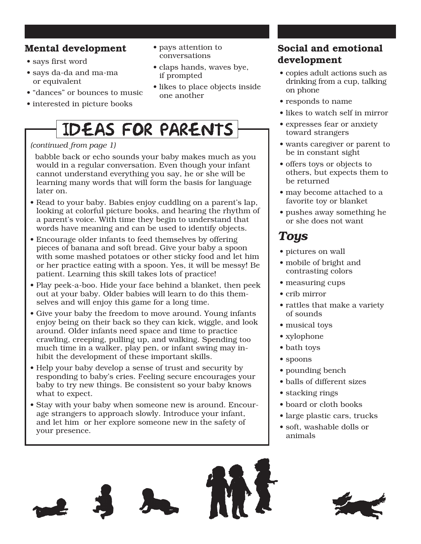#### **Mental development**

- says first word
- says da-da and ma-ma or equivalent
- "dances" or bounces to music
- interested in picture books

#### • pays attention to conversations

- claps hands, waves bye, if prompted
- likes to place objects inside one another

### **IDEAS FOR PARENTS**

#### *(continued from page 1)*

 babble back or echo sounds your baby makes much as you would in a regular conversation. Even though your infant cannot understand everything you say, he or she will be learning many words that will form the basis for language later on.

- Read to your baby. Babies enjoy cuddling on a parent's lap, looking at colorful picture books, and hearing the rhythm of a parent's voice. With time they begin to understand that words have meaning and can be used to identify objects.
- Encourage older infants to feed themselves by offering pieces of banana and soft bread. Give your baby a spoon with some mashed potatoes or other sticky food and let him or her practice eating with a spoon. Yes, it will be messy! Be patient. Learning this skill takes lots of practice!
- Play peek-a-boo. Hide your face behind a blanket, then peek out at your baby. Older babies will learn to do this themselves and will enjoy this game for a long time.
- Give your baby the freedom to move around. Young infants enjoy being on their back so they can kick, wiggle, and look around. Older infants need space and time to practice crawling, creeping, pulling up, and walking. Spending too much time in a walker, play pen, or infant swing may inhibit the development of these important skills.
- Help your baby develop a sense of trust and security by responding to baby's cries. Feeling secure encourages your baby to try new things. Be consistent so your baby knows what to expect.
- Stay with your baby when someone new is around. Encourage strangers to approach slowly. Introduce your infant, and let him or her explore someone new in the safety of your presence.

#### **Social and emotional development**

- copies adult actions such as drinking from a cup, talking on phone
- responds to name
- likes to watch self in mirror
- expresses fear or anxiety toward strangers
- wants caregiver or parent to be in constant sight
- offers toys or objects to others, but expects them to be returned
- may become attached to a favorite toy or blanket
- pushes away something he or she does not want

#### *Toys*

- pictures on wall
- mobile of bright and contrasting colors
- measuring cups
- crib mirror
- rattles that make a variety of sounds
- musical toys
- xylophone
- bath toys
- spoons
- pounding bench
- balls of different sizes
- stacking rings
- board or cloth books
- large plastic cars, trucks
- soft, washable dolls or animals

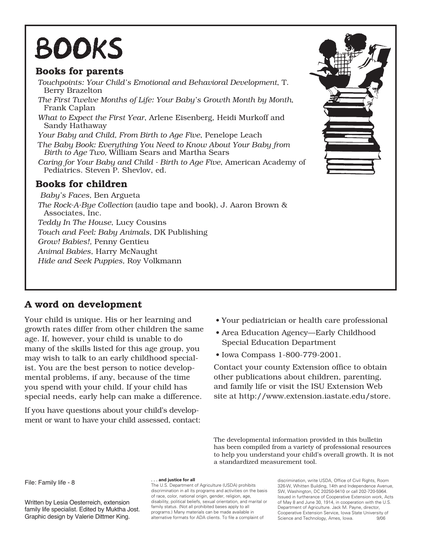# **BOOKS**

#### **Books for parents**

*Touchpoints: Your Child's Emotional and Behavioral Development*, T. Berry Brazelton *The First Twelve Months of Life: Your Baby's Growth Month by Month*, Frank Caplan *What to Expect the First Year*, Arlene Eisenberg, Heidi Murkoff and Sandy Hathaway *Your Baby and Child, From Birth to Age Five*, Penelope Leach T*he Baby Book: Everything You Need to Know About Your Baby from Birth to Age Two,* William Sears and Martha Sears *Caring for Your Baby and Child - Birth to Age Five*, American Academy of Pediatrics. Steven P. Shevlov, ed. **Books for children** *Baby's Faces,* Ben Argueta *The Rock-A-Bye Collection* (audio tape and book), J. Aaron Brown & Associates, Inc.

*Teddy In The House*, Lucy Cousins *Touch and Feel: Baby Animals,* DK Publishing

*Grow! Babies!,* Penny Gentieu

*Animal Babies*, Harry McNaught

*Hide and Seek Puppies,* Roy Volkmann

#### **A word on development**

Your child is unique. His or her learning and growth rates differ from other children the same age. If, however, your child is unable to do many of the skills listed for this age group, you may wish to talk to an early childhood specialist. You are the best person to notice developmental problems, if any, because of the time you spend with your child. If your child has special needs, early help can make a difference.

If you have questions about your child's development or want to have your child assessed, contact:

- Your pediatrician or health care professional
- Area Education Agency—Early Childhood Special Education Department
- Iowa Compass 1-800-779-2001.

Contact your county Extension office to obtain other publications about children, parenting, and family life or visit the ISU Extension Web [site at http://www.extension.iastate.edu/store.](http://www.extension.iastate.edu)

The developmental information provided in this bulletin has been compiled from a variety of professional resources to help you understand your child's overall growth. It is not a standardized measurement tool.

File: Family life - 8

Written by Lesia Oesterreich, extension family life specialist. Edited by Muktha Jost. Graphic design by Valerie Dittmer King.

**. . . and justice for all**

The U.S. Department of Agriculture (USDA) prohibits discrimination in all its programs and activities on the basis of race, color, national origin, gender, religion, age, disability, political beliefs, sexual orientation, and marital or family status. (Not all prohibited bases apply to all programs.) Many materials can be made available in alternative formats for ADA clients. To file a complaint of

discrimination, write USDA, Office of Civil Rights, Room 326-W, Whitten Building, 14th and Independence Avenue, SW, Washington, DC 20250-9410 or call 202-720-5964. Issued in furtherance of Cooperative Extension work, Acts of May 8 and June 30, 1914, in cooperation with the U.S. Department of Agriculture. Jack M. Payne, director, Cooperative Extension Service, Iowa State University of Science and Technology, Ames, Iowa. 9/06

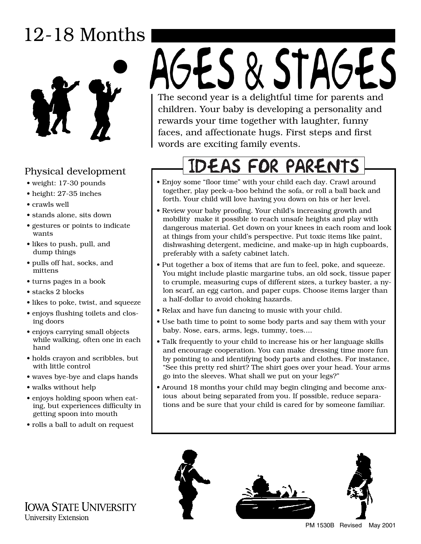## 12-18 Months



#### Physical development

- weight: 17-30 pounds
- height: 27-35 inches
- crawls well
- stands alone, sits down
- gestures or points to indicate wants
- likes to push, pull, and dump things
- pulls off hat, socks, and mittens
- turns pages in a book
- stacks 2 blocks
- likes to poke, twist, and squeeze
- enjoys flushing toilets and closing doors
- enjoys carrying small objects while walking, often one in each hand
- holds crayon and scribbles, but with little control
- waves bye-bye and claps hands
- walks without help
- enjoys holding spoon when eating, but experiences difficulty in getting spoon into mouth
- rolls a ball to adult on request

# GES & STAGES The second year is a delightful time for parents and

children. Your baby is developing a personality and rewards your time together with laughter, funny faces, and affectionate hugs. First steps and first words are exciting family events.

## **IDEAS FOR PARENTS**

- Enjoy some "floor time" with your child each day. Crawl around together, play peek-a-boo behind the sofa, or roll a ball back and forth. Your child will love having you down on his or her level.
- Review your baby proofing. Your child's increasing growth and mobility make it possible to reach unsafe heights and play with dangerous material. Get down on your knees in each room and look at things from your child's perspective. Put toxic items like paint, dishwashing detergent, medicine, and make-up in high cupboards, preferably with a safety cabinet latch.
- Put together a box of items that are fun to feel, poke, and squeeze. You might include plastic margarine tubs, an old sock, tissue paper to crumple, measuring cups of different sizes, a turkey baster, a nylon scarf, an egg carton, and paper cups. Choose items larger than a half-dollar to avoid choking hazards.
- Relax and have fun dancing to music with your child.
- Use bath time to point to some body parts and say them with your baby. Nose, ears, arms, legs, tummy, toes....
- Talk frequently to your child to increase his or her language skills and encourage cooperation. You can make dressing time more fun by pointing to and identifying body parts and clothes. For instance, "See this pretty red shirt? The shirt goes over your head. Your arms go into the sleeves. What shall we put on your legs?"
- Around 18 months your child may begin clinging and become anxious about being separated from you. If possible, reduce separations and be sure that your child is cared for by someone familiar.



PM 1530B Revised May 2001

**IOWA STATE UNIVERSITY University Extension**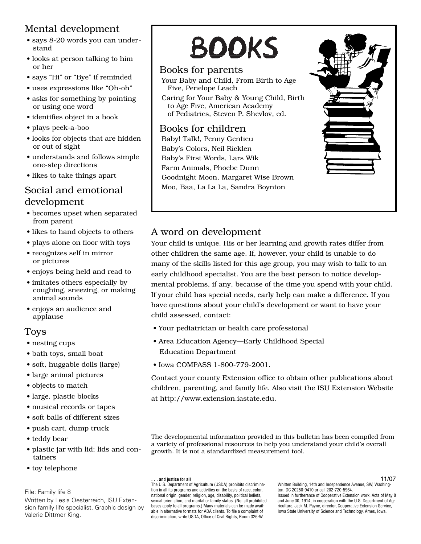#### Mental development

- says 8-20 words you can understand
- looks at person talking to him or her
- says "Hi" or "Bye" if reminded
- uses expressions like "Oh-oh"
- asks for something by pointing or using one word
- identifies object in a book
- plays peek-a-boo
- looks for objects that are hidden or out of sight
- understands and follows simple one-step directions
- likes to take things apart

#### Social and emotional development

- becomes upset when separated from parent
- likes to hand objects to others
- plays alone on floor with toys
- recognizes self in mirror or pictures
- enjoys being held and read to
- imitates others especially by coughing, sneezing, or making animal sounds
- enjoys an audience and applause

#### Toys

- nesting cups
- bath toys, small boat
- soft, huggable dolls (large)
- large animal pictures
- objects to match
- large, plastic blocks
- musical records or tapes
- soft balls of different sizes
- push cart, dump truck
- teddy bear
- plastic jar with lid; lids and containers
- toy telephone

#### File: Family life 8

Written by Lesia Oesterreich, ISU Extension family life specialist. Graphic design by Valerie Dittmer King.

# **BOOKS**

#### Books for parents

- Your Baby and Child, From Birth to Age Five, Penelope Leach
- Caring for Your Baby & Young Child, Birth to Age Five, American Academy of Pediatrics, Steven P. Shevlov, ed.

#### Books for children

Baby! Talk!, Penny Gentieu Baby's Colors, Neil Ricklen Baby's First Words, Lars Wik Farm Animals, Phoebe Dunn Goodnight Moon, Margaret Wise Brown Moo, Baa, La La La, Sandra Boynton



#### A word on development

Your child is unique. His or her learning and growth rates differ from other children the same age. If, however, your child is unable to do many of the skills listed for this age group, you may wish to talk to an early childhood specialist. You are the best person to notice developmental problems, if any, because of the time you spend with your child. If your child has special needs, early help can make a difference. If you have questions about your child's development or want to have your child assessed, contact:

- Your pediatrician or health care professional
- Area Education Agency—Early Childhood Special Education Department
- Iowa COMPASS 1-800-779-2001.

Contact your county Extension office to obtain other publications about [children, parenting, and family life. Also visit the ISU Extension Website](http://www.extension.iastate.edu)  at http://www.extension.iastate.edu.

The developmental information provided in this bulletin has been compiled from a variety of professional resources to help you understand your child's overall growth. It is not a standardized measurement tool.

#### **. . . and justice for all**

The U.S. Department of Agriculture (USDA) prohibits discrimination in all its programs and activities on the basis of race, color, national origin, gender, religion, age, disability, political beliefs, sexual orientation, and marital or family status. (Not all prohibited bases apply to all programs.) Many materials can be made available in alternative formats for ADA clients. To file a complaint of discrimination, write USDA, Office of Civil Rights, Room 326-W,

Whitten Building, 14th and Independence Avenue, SW, Washington, DC 20250-9410 or call 202-720-5964. Issued in furtherance of Cooperative Extension work, Acts of May 8 and June 30, 1914, in cooperation with the U.S. Department of Agriculture. Jack M. Payne, director, Cooperative Extension Service, Iowa State University of Science and Technology, Ames, Iowa. 11/07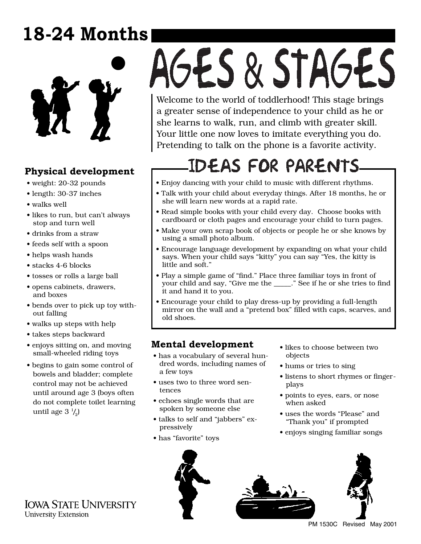## **18-24 Months**



#### **Physical development**

- weight: 20-32 pounds
- length: 30-37 inches
- walks well
- likes to run, but can't always stop and turn well
- drinks from a straw
- feeds self with a spoon
- helps wash hands
- stacks 4-6 blocks
- tosses or rolls a large ball
- opens cabinets, drawers, and boxes
- bends over to pick up toy without falling
- walks up steps with help
- takes steps backward
- enjoys sitting on, and moving small-wheeled riding toys
- begins to gain some control of bowels and bladder; complete control may not be achieved until around age 3 (boys often do not complete toilet learning until age 3 $\frac{1}{2}$

# AGES & STAGES

Welcome to the world of toddlerhood! This stage brings a greater sense of independence to your child as he or she learns to walk, run, and climb with greater skill. Your little one now loves to imitate everything you do. Pretending to talk on the phone is a favorite activity.

## **IDEAS FOR PARENTS**

- Enjoy dancing with your child to music with different rhythms.
- Talk with your child about everyday things. After 18 months, he or she will learn new words at a rapid rate.
- Read simple books with your child every day. Choose books with cardboard or cloth pages and encourage your child to turn pages.
- Make your own scrap book of objects or people he or she knows by using a small photo album.
- Encourage language development by expanding on what your child says. When your child says "kitty" you can say "Yes, the kitty is little and soft."
- Play a simple game of "find." Place three familiar toys in front of your child and say, "Give me the \_\_\_\_\_." See if he or she tries to find it and hand it to you.
- Encourage your child to play dress-up by providing a full-length mirror on the wall and a "pretend box" filled with caps, scarves, and old shoes.

#### **Mental development**

- has a vocabulary of several hundred words, including names of a few toys
- uses two to three word sentences
- echoes single words that are spoken by someone else
- talks to self and "jabbers" expressively
- has "favorite" toys
- likes to choose between two objects
- hums or tries to sing
- listens to short rhymes or fingerplays
- points to eyes, ears, or nose when asked
- uses the words "Please" and "Thank you" if prompted
- enjoys singing familiar songs







PM 1530C Revised May 2001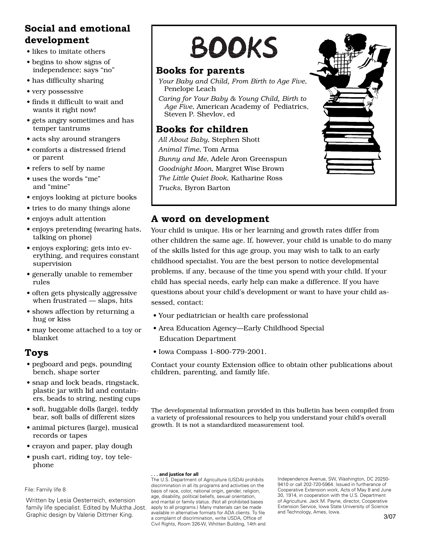#### **Social and emotional development**

- likes to imitate others
- begins to show signs of independence; says "no"
- has difficulty sharing
- very possessive
- finds it difficult to wait and wants it right now!
- gets angry sometimes and has temper tantrums
- acts shy around strangers
- comforts a distressed friend or parent
- refers to self by name
- uses the words "me" and "mine"
- enjoys looking at picture books
- tries to do many things alone
- enjoys adult attention
- enjoys pretending (wearing hats, talking on phone)
- enjoys exploring; gets into everything, and requires constant supervision
- generally unable to remember rules
- often gets physically aggressive when frustrated — slaps, hits
- shows affection by returning a hug or kiss
- may become attached to a toy or blanket

#### **Toys**

- pegboard and pegs, pounding bench, shape sorter
- snap and lock beads, ringstack, plastic jar with lid and containers, beads to string, nesting cups
- soft, huggable dolls (large), teddy bear, soft balls of different sizes
- animal pictures (large), musical records or tapes
- crayon and paper, play dough
- push cart, riding toy, toy telephone

#### File: Family life 8

Written by Lesia Oesterreich, extension family life specialist. Edited by Muktha Jost. Graphic design by Valerie Dittmer King.

# **BOOKS**

#### **Books for parents**

- *Your Baby and Child, From Birth to Age Five*, Penelope Leach
- *Caring for Your Baby & Young Child, Birth to Age Five*, American Academy of Pediatrics, Steven P. Shevlov, ed

#### **Books for children**

*All About Baby*, Stephen Shott *Animal Time*, Tom Arma *Bunny and Me*, Adele Aron Greenspun *Goodnight Moon*, Margret Wise Brown *The Little Quiet Book*, Katharine Ross *Trucks*, Byron Barton



#### **A word on development**

Your child is unique. His or her learning and growth rates differ from other children the same age. If, however, your child is unable to do many of the skills listed for this age group, you may wish to talk to an early childhood specialist. You are the best person to notice developmental problems, if any, because of the time you spend with your child. If your child has special needs, early help can make a difference. If you have questions about your child's development or want to have your child assessed, contact:

- Your pediatrician or health care professional
- Area Education Agency—Early Childhood Special Education Department
- Iowa Compass 1-800-779-2001.

Contact your county Extension office to obtain other publications about children, parenting, and family life.

The developmental information provided in this bulletin has been compiled from a variety of professional resources to help you understand your child's overall growth. It is not a standardized measurement tool.

#### **. . . and justice for all**

The U.S. Department of Agriculture (USDA) prohibits discrimination in all its programs and activities on the basis of race, color, national origin, gender, religion, age, disability, political beliefs, sexual orientation, and marital or family status. (Not all prohibited bases apply to all programs.) Many materials can be made available in alternative formats for ADA clients. To file a complaint of discrimination, write USDA, Office of Civil Rights, Room 326-W, Whitten Building, 14th and Independence Avenue, SW, Washington, DC 20250- 9410 or call 202-720-5964. Issued in furtherance of Cooperative Extension work, Acts of May 8 and June 30, 1914, in cooperation with the U.S. Department of Agriculture. Jack M. Payne, director, Cooperative Extension Service, Iowa State University of Science and Technology, Ames, Iowa.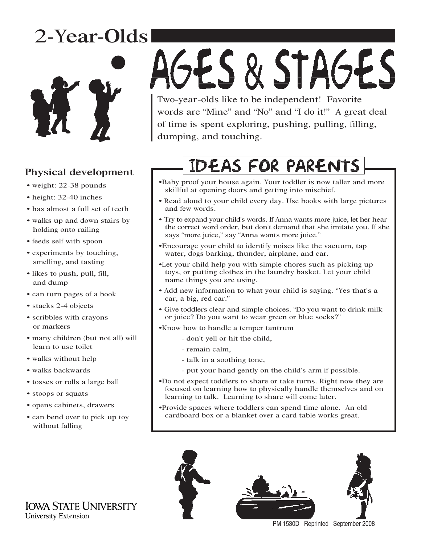## 2-Year-Olds



#### Physical development

- weight: 22-38 pounds
- height: 32-40 inches
- has almost a full set of teeth
- walks up and down stairs by holding onto railing
- feeds self with spoon
- experiments by touching, smelling, and tasting
- likes to push, pull, fill, and dump
- can turn pages of a book
- stacks 2-4 objects
- scribbles with crayons or markers
- many children (but not all) will learn to use toilet
- walks without help
- walks backwards
- tosses or rolls a large ball
- stoops or squats
- opens cabinets, drawers
- can bend over to pick up toy without falling

# AGES & STAGES Two-year-olds like to be independent! Favorite

words are "Mine" and "No" and "I do it!" A great deal of time is spent exploring, pushing, pulling, filling, dumping, and touching.

## **IDEAS FOR PARENTS**

- •Baby proof your house again. Your toddler is now taller and more skillful at opening doors and getting into mischief.
- Read aloud to your child every day. Use books with large pictures and few words.
- Try to expand your child's words. If Anna wants more juice, let her hear the correct word order, but don't demand that she imitate you. If she says "more juice," say "Anna wants more juice."
- •Encourage your child to identify noises like the vacuum, tap water, dogs barking, thunder, airplane, and car.
- •Let your child help you with simple chores such as picking up toys, or putting clothes in the laundry basket. Let your child name things you are using.
- Add new information to what your child is saying. "Yes that's a car, a big, red car."
- Give toddlers clear and simple choices. "Do you want to drink milk or juice? Do you want to wear green or blue socks?"
- •Know how to handle a temper tantrum
	- don't yell or hit the child,
	- remain calm,
	- talk in a soothing tone,
	- put your hand gently on the child's arm if possible.
- •Do not expect toddlers to share or take turns. Right now they are focused on learning how to physically handle themselves and on learning to talk. Learning to share will come later.
- •Provide spaces where toddlers can spend time alone. An old cardboard box or a blanket over a card table works great.



PM 1530D Reprinted September 2008

**IOWA STATE UNIVERSITY University Extension**